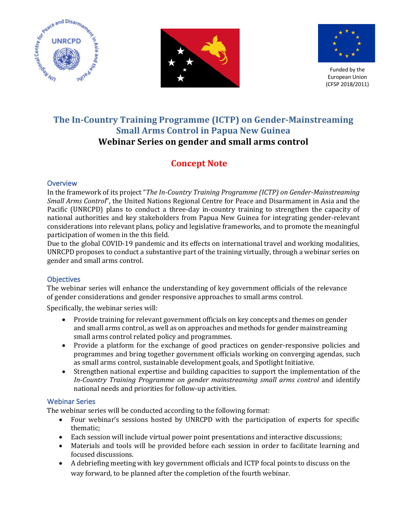





Funded by the European Union (CFSP 2018/2011)

## **The In-Country Training Programme (ICTP) on Gender-Mainstreaming Small Arms Control in Papua New Guinea** Webinar Series on gender and small arms control

# **Concept Note**

### **Overview**

In the framework of its project "*The In-Country Training Programme (ICTP)* on *Gender-Mainstreaming Small Arms Control*", the United Nations Regional Centre for Peace and Disarmament in Asia and the Pacific (UNRCPD) plans to conduct a three-day in-country training to strengthen the capacity of national authorities and key stakeholders from Papua New Guinea for integrating gender-relevant considerations into relevant plans, policy and legislative frameworks, and to promote the meaningful participation of women in the this field.

Due to the global COVID-19 pandemic and its effects on international travel and working modalities, UNRCPD proposes to conduct a substantive part of the training virtually, through a webinar series on gender and small arms control.

## **Objectives**

The webinar series will enhance the understanding of key government officials of the relevance of gender considerations and gender responsive approaches to small arms control.

Specifically, the webinar series will:

- Provide training for relevant government officials on key concepts and themes on gender and small arms control, as well as on approaches and methods for gender mainstreaming small arms control related policy and programmes.
- Provide a platform for the exchange of good practices on gender-responsive policies and programmes and bring together government officials working on converging agendas, such as small arms control, sustainable development goals, and Spotlight Initiative.
- Strengthen national expertise and building capacities to support the implementation of the In-Country Training Programme on gender mainstreaming small arms control and identify national needs and priorities for follow-up activities.

## Webinar Series

The webinar series will be conducted according to the following format:

- Four webinar's sessions hosted by UNRCPD with the participation of experts for specific thematic;
- Each session will include virtual power point presentations and interactive discussions;
- Materials and tools will be provided before each session in order to facilitate learning and focused discussions.
- A debriefing meeting with key government officials and ICTP focal points to discuss on the way forward, to be planned after the completion of the fourth webinar.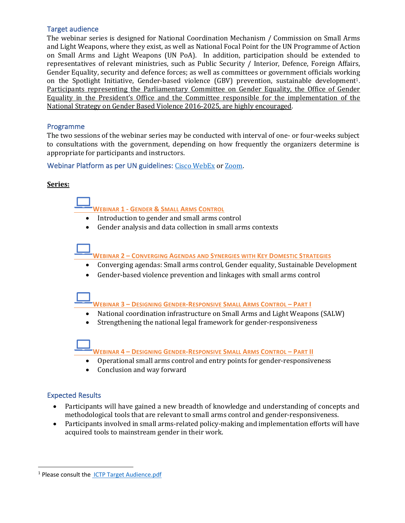#### Target audience

The webinar series is designed for National Coordination Mechanism / Commission on Small Arms and Light Weapons, where they exist, as well as National Focal Point for the UN Programme of Action on Small Arms and Light Weapons (UN PoA). In addition, participation should be extended to representatives of relevant ministries, such as Public Security / Interior, Defence, Foreign Affairs, Gender Equality, security and defence forces; as well as committees or government officials working on the Spotlight Initiative, Gender-based violence (GBV) prevention, sustainable development<sup>1</sup>. Participants representing the Parliamentary Committee on Gender Equality, the Office of Gender Equality in the President's Office and the Committee responsible for the implementation of the National Strategy on Gender Based Violence 2016-2025, are highly encouraged.

#### Programme

The two sessions of the webinar series may be conducted with interval of one- or four-weeks subject to consultations with the government, depending on how frequently the organizers determine is appropriate for participants and instructors.

Webinar Platform as per UN guidelines: Cisco WebEx or Zoom.

#### **Series:**

**WEBINAR 1 - GENDER & SMALL ARMS CONTROL** 

- Introduction to gender and small arms control
- Gender analysis and data collection in small arms contexts

**WEBINAR 2 – CONVERGING AGENDAS AND SYNERGIES WITH KEY DOMESTIC STRATEGIES** 

- Converging agendas: Small arms control, Gender equality, Sustainable Development
- Gender-based violence prevention and linkages with small arms control



**WEBINAR 3 – DESIGNING GENDER-RESPONSIVE SMALL ARMS CONTROL – PART I**

- National coordination infrastructure on Small Arms and Light Weapons (SALW)
- Strengthening the national legal framework for gender-responsiveness

**WEBINAR 4 – DESIGNING GENDER-RESPONSIVE SMALL ARMS CONTROL – PART II**

- Operational small arms control and entry points for gender-responsiveness
- Conclusion and way forward

#### Expected Results

- Participants will have gained a new breadth of knowledge and understanding of concepts and methodological tools that are relevant to small arms control and gender-responsiveness.
- Participants involved in small arms-related policy-making and implementation efforts will have acquired tools to mainstream gender in their work.

<sup>&</sup>lt;sup>1</sup> Please consult the **ICTP Target Audience**.pdf